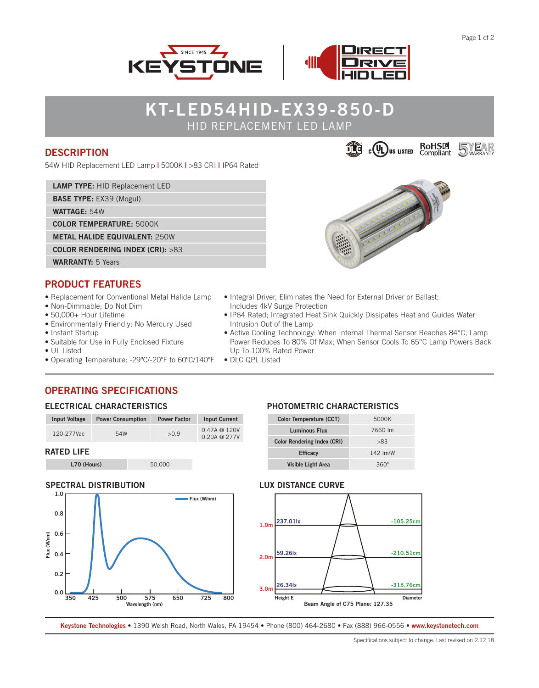



## **KT-LED54HID-EX39-850-D** HID REPLACEMENT LED LAMP

### **DESCRIPTION**

54W HID Replacement LED Lamp **|** 5000K **|** >83 CRI **|** IP64 Rated

**LAMP TYPE:** HID Replacement LED

**BASE TYPE:** EX39 (Mogul)

**WATTAGE:** 54W

**COLOR TEMPERATURE:** 5000K

**METAL HALIDE EQUIVALENT:** 250W

**COLOR RENDERING INDEX (CRI):** >83

# **WARRANTY:** 5 Years

### **PRODUCT FEATURES**

- Replacement for Conventional Metal Halide Lamp
- Non-Dimmable; Do Not Dim
- 50,000+ Hour Lifetime
- Environmentally Friendly: No Mercury Used
- Instant Startup
- Suitable for Use in Fully Enclosed Fixture
- UL Listed
- Operating Temperature: -29ºC/-20ºF to 60ºC/140ºF
- Integral Driver, Eliminates the Need for External Driver or Ballast; Includes 4kV Surge Protection
- IP64 Rated; Integrated Heat Sink Quickly Dissipates Heat and Guides Water Intrusion Out of the Lamp
- Active Cooling Technology: When Internal Thermal Sensor Reaches 84°C, Lamp Power Reduces To 80% Of Max; When Sensor Cools To 65°C Lamp Powers Back Up To 100% Rated Power
- DLC QPL Listed

## **OPERATING SPECIFICATIONS**

### **ELECTRICAL CHARACTERISTICS**

| Input Voltage | <b>Power Consumption</b> | <b>Power Factor</b> | <b>Input Current</b>                     |
|---------------|--------------------------|---------------------|------------------------------------------|
| 120-277Vac    | 54W                      | >0.9                | $0.47A \t@ 120V$<br>$0.20A \otimes 277V$ |
| DATED LIFE    |                          |                     |                                          |

### **RATED LIFE**

**L70 (Hours)** 50,000

## **SPECTRAL DISTRIBUTION**



#### **PHOTOMETRIC CHARACTERISTICS**

| <b>Color Temperature (CCT)</b>     | 5000K      |  |
|------------------------------------|------------|--|
| <b>Luminous Flux</b>               | 7660 lm    |  |
| <b>Color Rendering Index (CRI)</b> | >83        |  |
| <b>Efficacy</b>                    | $142$ lm/W |  |
| Visible Light Area                 | 360°       |  |

#### **LUX DISTANCE CURVE**



**Keystone Technologies •** 1390 Welsh Road, North Wales, PA 19454 **•** Phone (800) 464-2680 **•** Fax (888) 966-0556 • **www.keystonetech.com**